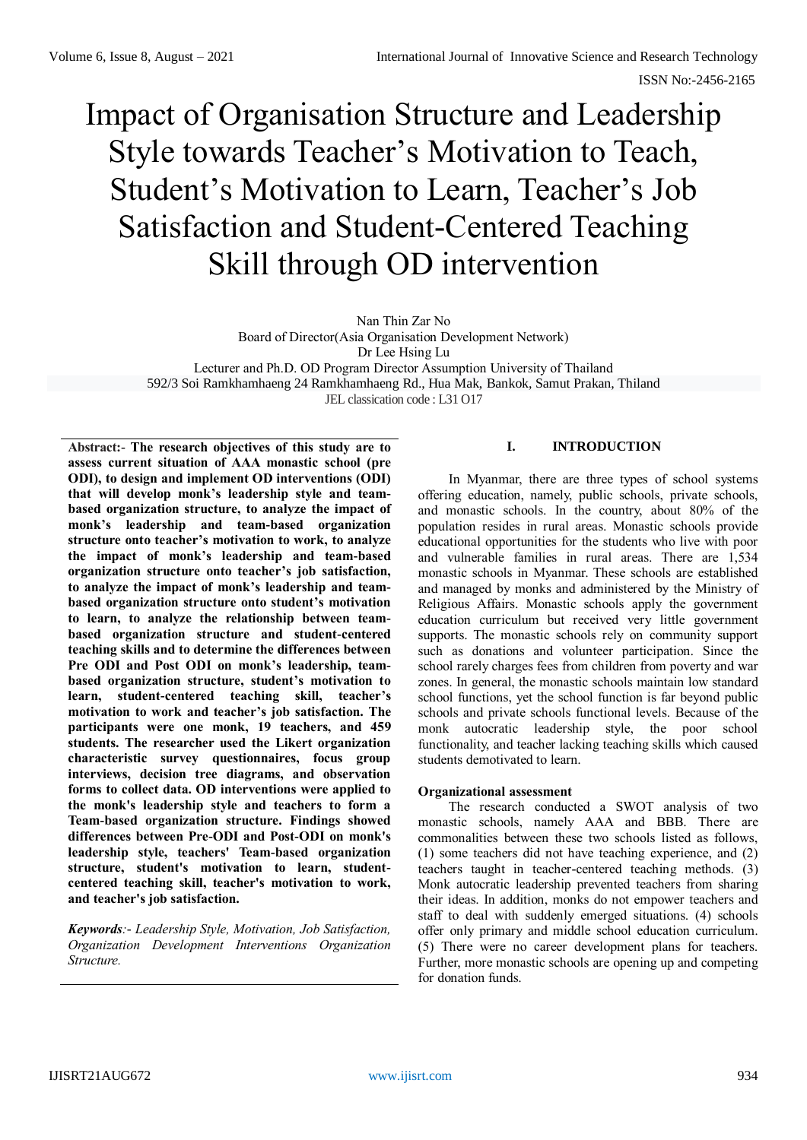# Impact of Organisation Structure and Leadership Style towards Teacher's Motivation to Teach, Student's Motivation to Learn, Teacher's Job Satisfaction and Student-Centered Teaching Skill through OD intervention

Nan Thin Zar No

Board of Director(Asia Organisation Development Network)

Dr Lee Hsing Lu

Lecturer and Ph.D. OD Program Director Assumption University of Thailand

592/3 Soi Ramkhamhaeng 24 Ramkhamhaeng Rd., Hua Mak, Bankok, Samut Prakan, Thiland

JEL classication code : L31 O17

**Abstract:- The research objectives of this study are to assess current situation of AAA monastic school (pre ODI), to design and implement OD interventions (ODI) that will develop monk's leadership style and teambased organization structure, to analyze the impact of monk's leadership and team-based organization structure onto teacher's motivation to work, to analyze the impact of monk's leadership and team-based organization structure onto teacher's job satisfaction, to analyze the impact of monk's leadership and teambased organization structure onto student's motivation to learn, to analyze the relationship between teambased organization structure and student-centered teaching skills and to determine the differences between Pre ODI and Post ODI on monk's leadership, teambased organization structure, student's motivation to learn, student-centered teaching skill, teacher's motivation to work and teacher's job satisfaction. The participants were one monk, 19 teachers, and 459 students. The researcher used the Likert organization characteristic survey questionnaires, focus group interviews, decision tree diagrams, and observation forms to collect data. OD interventions were applied to the monk's leadership style and teachers to form a Team-based organization structure. Findings showed differences between Pre-ODI and Post-ODI on monk's leadership style, teachers' Team-based organization structure, student's motivation to learn, studentcentered teaching skill, teacher's motivation to work, and teacher's job satisfaction.**

*Keywords:- Leadership Style, Motivation, Job Satisfaction, Organization Development Interventions Organization Structure.*

# **I. INTRODUCTION**

In Myanmar, there are three types of school systems offering education, namely, public schools, private schools, and monastic schools. In the country, about 80% of the population resides in rural areas. Monastic schools provide educational opportunities for the students who live with poor and vulnerable families in rural areas. There are 1,534 monastic schools in Myanmar. These schools are established and managed by monks and administered by the Ministry of Religious Affairs. Monastic schools apply the government education curriculum but received very little government supports. The monastic schools rely on community support such as donations and volunteer participation. Since the school rarely charges fees from children from poverty and war zones. In general, the monastic schools maintain low standard school functions, yet the school function is far beyond public schools and private schools functional levels. Because of the monk autocratic leadership style, the poor school functionality, and teacher lacking teaching skills which caused students demotivated to learn.

# **Organizational assessment**

The research conducted a SWOT analysis of two monastic schools, namely AAA and BBB. There are commonalities between these two schools listed as follows, (1) some teachers did not have teaching experience, and (2) teachers taught in teacher-centered teaching methods. (3) Monk autocratic leadership prevented teachers from sharing their ideas. In addition, monks do not empower teachers and staff to deal with suddenly emerged situations. (4) schools offer only primary and middle school education curriculum. (5) There were no career development plans for teachers. Further, more monastic schools are opening up and competing for donation funds.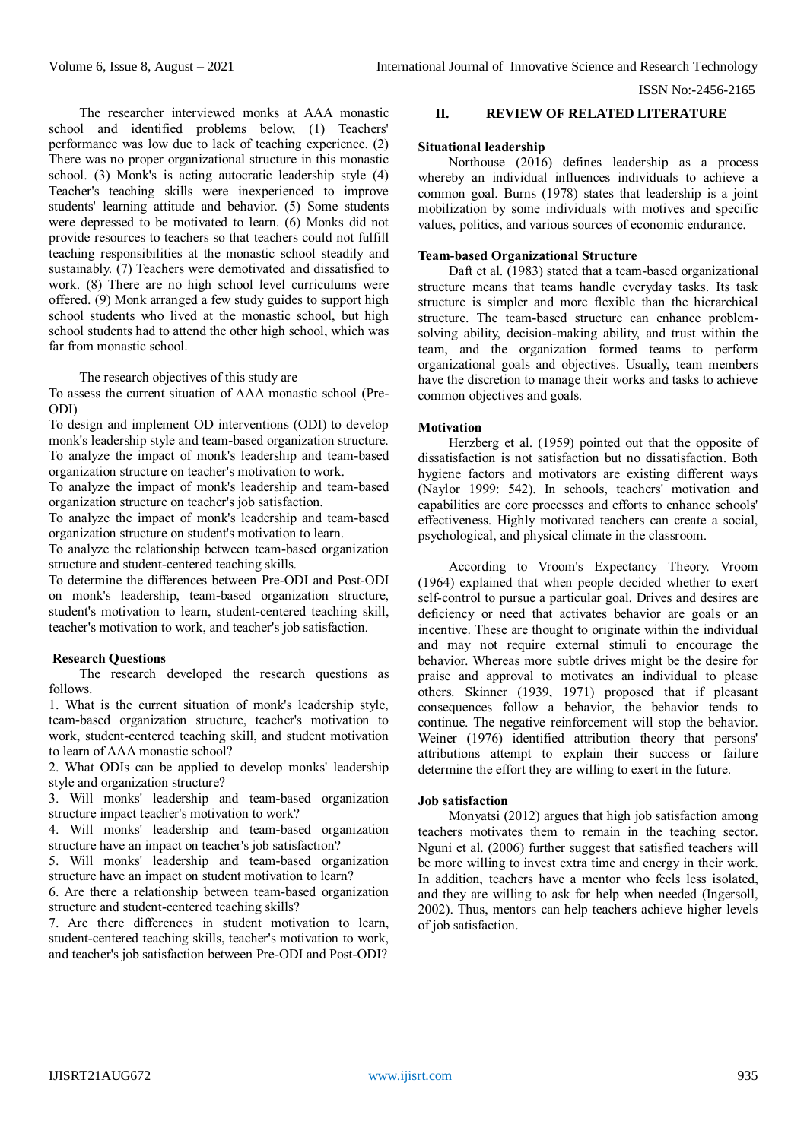The researcher interviewed monks at AAA monastic school and identified problems below, (1) Teachers' performance was low due to lack of teaching experience. (2) There was no proper organizational structure in this monastic school. (3) Monk's is acting autocratic leadership style (4) Teacher's teaching skills were inexperienced to improve students' learning attitude and behavior. (5) Some students were depressed to be motivated to learn. (6) Monks did not provide resources to teachers so that teachers could not fulfill teaching responsibilities at the monastic school steadily and sustainably. (7) Teachers were demotivated and dissatisfied to work. (8) There are no high school level curriculums were offered. (9) Monk arranged a few study guides to support high school students who lived at the monastic school, but high school students had to attend the other high school, which was far from monastic school.

The research objectives of this study are

To assess the current situation of AAA monastic school (Pre-ODI)

To design and implement OD interventions (ODI) to develop monk's leadership style and team-based organization structure. To analyze the impact of monk's leadership and team-based organization structure on teacher's motivation to work.

To analyze the impact of monk's leadership and team-based organization structure on teacher's job satisfaction.

To analyze the impact of monk's leadership and team-based organization structure on student's motivation to learn.

To analyze the relationship between team-based organization structure and student-centered teaching skills.

To determine the differences between Pre-ODI and Post-ODI on monk's leadership, team-based organization structure, student's motivation to learn, student-centered teaching skill, teacher's motivation to work, and teacher's job satisfaction.

# **Research Questions**

The research developed the research questions as follows.

1. What is the current situation of monk's leadership style, team-based organization structure, teacher's motivation to work, student-centered teaching skill, and student motivation to learn of AAA monastic school?

2. What ODIs can be applied to develop monks' leadership style and organization structure?

3. Will monks' leadership and team-based organization structure impact teacher's motivation to work?

4. Will monks' leadership and team-based organization structure have an impact on teacher's job satisfaction?

5. Will monks' leadership and team-based organization structure have an impact on student motivation to learn?

6. Are there a relationship between team-based organization structure and student-centered teaching skills?

7. Are there differences in student motivation to learn, student-centered teaching skills, teacher's motivation to work, and teacher's job satisfaction between Pre-ODI and Post-ODI?

# **II. REVIEW OF RELATED LITERATURE**

#### **Situational leadership**

Northouse (2016) defines leadership as a process whereby an individual influences individuals to achieve a common goal. Burns (1978) states that leadership is a joint mobilization by some individuals with motives and specific values, politics, and various sources of economic endurance.

#### **Team-based Organizational Structure**

Daft et al. (1983) stated that a team-based organizational structure means that teams handle everyday tasks. Its task structure is simpler and more flexible than the hierarchical structure. The team-based structure can enhance problemsolving ability, decision-making ability, and trust within the team, and the organization formed teams to perform organizational goals and objectives. Usually, team members have the discretion to manage their works and tasks to achieve common objectives and goals.

# **Motivation**

Herzberg et al. (1959) pointed out that the opposite of dissatisfaction is not satisfaction but no dissatisfaction. Both hygiene factors and motivators are existing different ways (Naylor 1999: 542). In schools, teachers' motivation and capabilities are core processes and efforts to enhance schools' effectiveness. Highly motivated teachers can create a social, psychological, and physical climate in the classroom.

According to Vroom's Expectancy Theory. Vroom (1964) explained that when people decided whether to exert self-control to pursue a particular goal. Drives and desires are deficiency or need that activates behavior are goals or an incentive. These are thought to originate within the individual and may not require external stimuli to encourage the behavior. Whereas more subtle drives might be the desire for praise and approval to motivates an individual to please others. Skinner (1939, 1971) proposed that if pleasant consequences follow a behavior, the behavior tends to continue. The negative reinforcement will stop the behavior. Weiner (1976) identified attribution theory that persons' attributions attempt to explain their success or failure determine the effort they are willing to exert in the future.

#### **Job satisfaction**

Monyatsi (2012) argues that high job satisfaction among teachers motivates them to remain in the teaching sector. Nguni et al. (2006) further suggest that satisfied teachers will be more willing to invest extra time and energy in their work. In addition, teachers have a mentor who feels less isolated, and they are willing to ask for help when needed (Ingersoll, 2002). Thus, mentors can help teachers achieve higher levels of job satisfaction.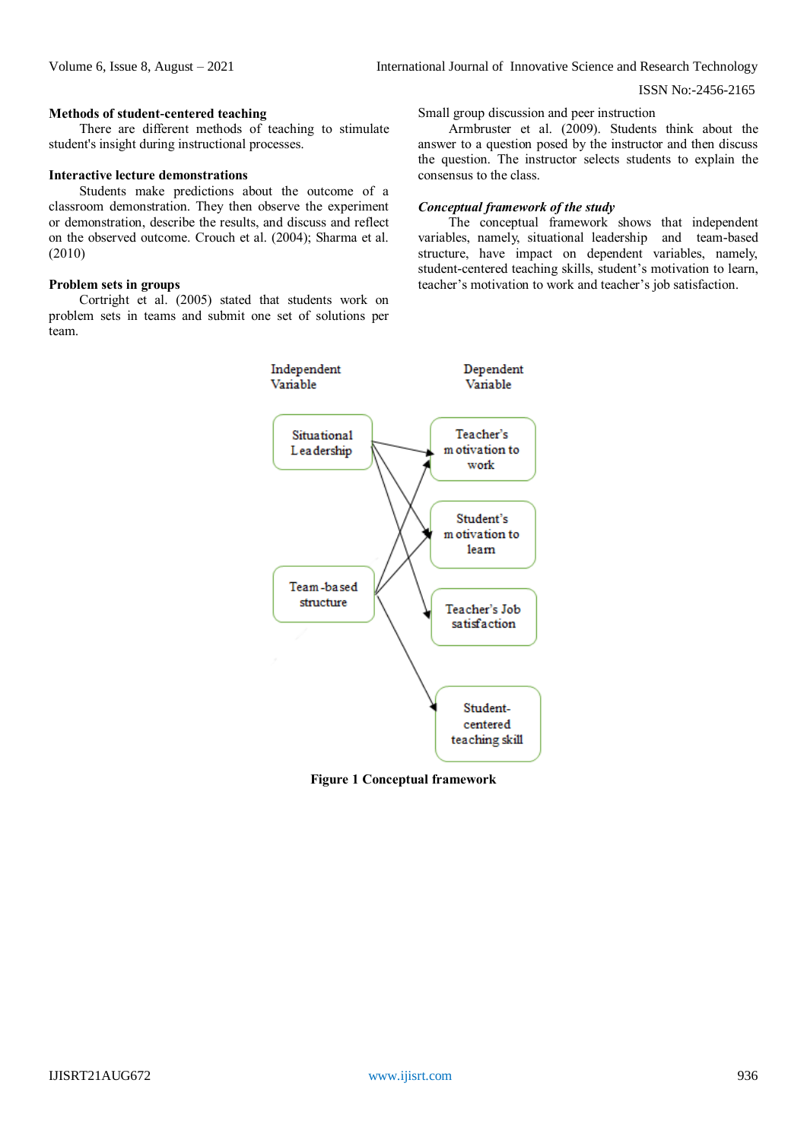#### **Methods of student-centered teaching**

There are different methods of teaching to stimulate student's insight during instructional processes.

# **Interactive lecture demonstrations**

Students make predictions about the outcome of a classroom demonstration. They then observe the experiment or demonstration, describe the results, and discuss and reflect on the observed outcome. Crouch et al. (2004); Sharma et al. (2010)

#### **Problem sets in groups**

Cortright et al. (2005) stated that students work on problem sets in teams and submit one set of solutions per team.

Small group discussion and peer instruction

Armbruster et al. (2009). Students think about the answer to a question posed by the instructor and then discuss the question. The instructor selects students to explain the consensus to the class.

# *Conceptual framework of the study*

The conceptual framework shows that independent variables, namely, situational leadership and team-based structure, have impact on dependent variables, namely, student-centered teaching skills, student's motivation to learn, teacher's motivation to work and teacher's job satisfaction.



**Figure 1 Conceptual framework**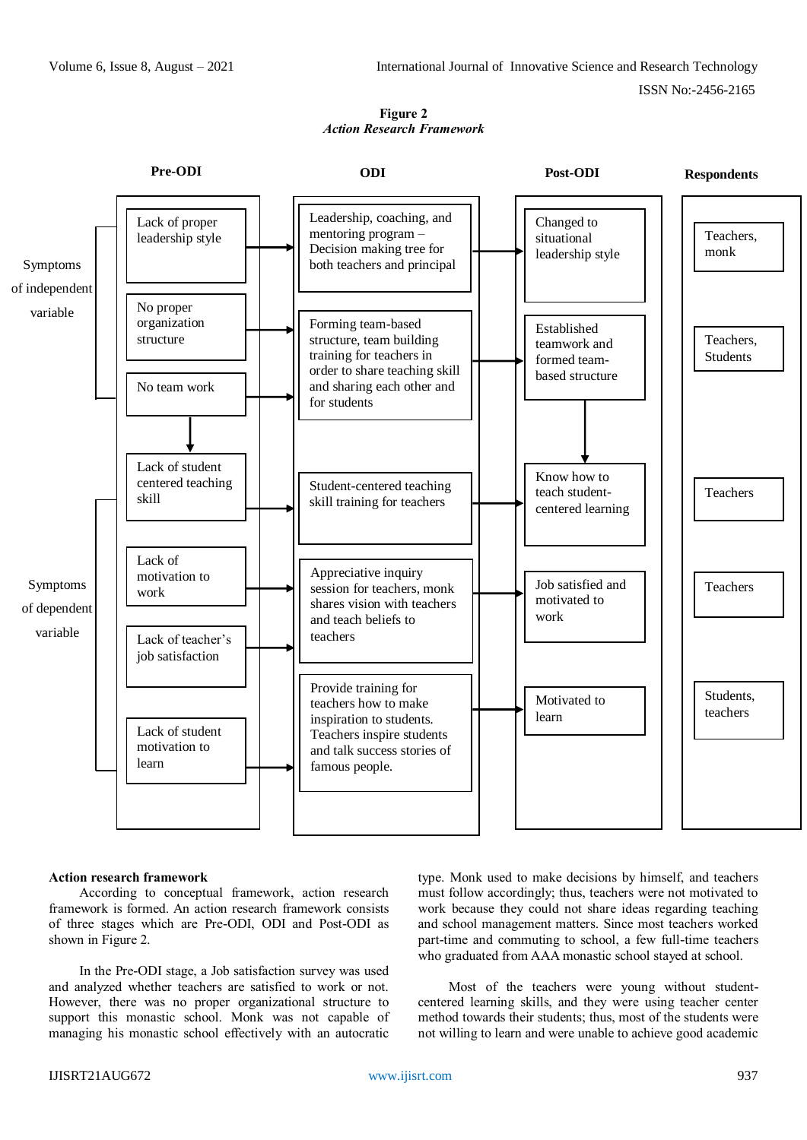# **Figure 2** *Action Research Framework*



# **Action research framework**

According to conceptual framework, action research framework is formed. An action research framework consists of three stages which are Pre-ODI, ODI and Post-ODI as shown in Figure 2.

In the Pre-ODI stage, a Job satisfaction survey was used and analyzed whether teachers are satisfied to work or not. However, there was no proper organizational structure to support this monastic school. Monk was not capable of managing his monastic school effectively with an autocratic type. Monk used to make decisions by himself, and teachers must follow accordingly; thus, teachers were not motivated to work because they could not share ideas regarding teaching and school management matters. Since most teachers worked part-time and commuting to school, a few full-time teachers who graduated from AAA monastic school stayed at school.

Most of the teachers were young without studentcentered learning skills, and they were using teacher center method towards their students; thus, most of the students were not willing to learn and were unable to achieve good academic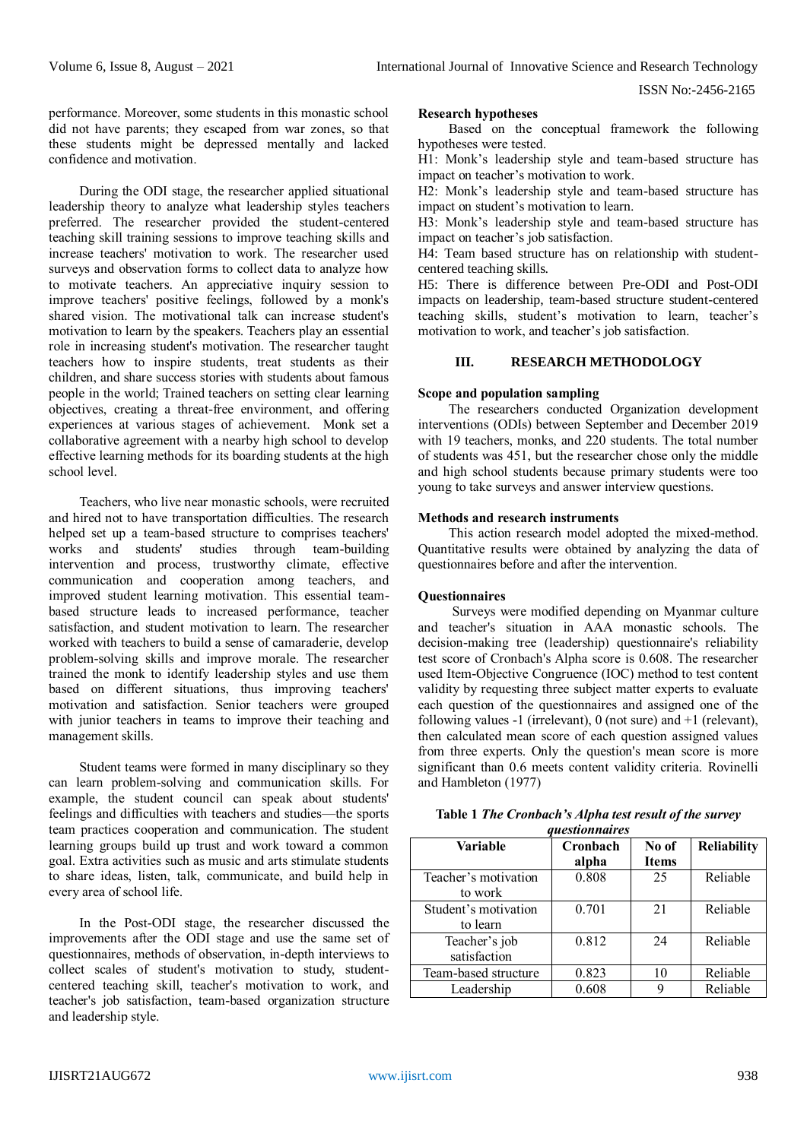performance. Moreover, some students in this monastic school did not have parents; they escaped from war zones, so that these students might be depressed mentally and lacked confidence and motivation.

During the ODI stage, the researcher applied situational leadership theory to analyze what leadership styles teachers preferred. The researcher provided the student-centered teaching skill training sessions to improve teaching skills and increase teachers' motivation to work. The researcher used surveys and observation forms to collect data to analyze how to motivate teachers. An appreciative inquiry session to improve teachers' positive feelings, followed by a monk's shared vision. The motivational talk can increase student's motivation to learn by the speakers. Teachers play an essential role in increasing student's motivation. The researcher taught teachers how to inspire students, treat students as their children, and share success stories with students about famous people in the world; Trained teachers on setting clear learning objectives, creating a threat-free environment, and offering experiences at various stages of achievement. Monk set a collaborative agreement with a nearby high school to develop effective learning methods for its boarding students at the high school level.

Teachers, who live near monastic schools, were recruited and hired not to have transportation difficulties. The research helped set up a team-based structure to comprises teachers' works and students' studies through team-building intervention and process, trustworthy climate, effective communication and cooperation among teachers, and improved student learning motivation. This essential teambased structure leads to increased performance, teacher satisfaction, and student motivation to learn. The researcher worked with teachers to build a sense of camaraderie, develop problem-solving skills and improve morale. The researcher trained the monk to identify leadership styles and use them based on different situations, thus improving teachers' motivation and satisfaction. Senior teachers were grouped with junior teachers in teams to improve their teaching and management skills.

Student teams were formed in many disciplinary so they can learn problem-solving and communication skills. For example, the student council can speak about students' feelings and difficulties with teachers and studies—the sports team practices cooperation and communication. The student learning groups build up trust and work toward a common goal. Extra activities such as music and arts stimulate students to share ideas, listen, talk, communicate, and build help in every area of school life.

In the Post-ODI stage, the researcher discussed the improvements after the ODI stage and use the same set of questionnaires, methods of observation, in-depth interviews to collect scales of student's motivation to study, studentcentered teaching skill, teacher's motivation to work, and teacher's job satisfaction, team-based organization structure and leadership style.

#### **Research hypotheses**

Based on the conceptual framework the following hypotheses were tested.

H1: Monk's leadership style and team-based structure has impact on teacher's motivation to work.

H2: Monk's leadership style and team-based structure has impact on student's motivation to learn.

H3: Monk's leadership style and team-based structure has impact on teacher's job satisfaction.

H4: Team based structure has on relationship with studentcentered teaching skills.

H5: There is difference between Pre-ODI and Post-ODI impacts on leadership, team-based structure student-centered teaching skills, student's motivation to learn, teacher's motivation to work, and teacher's job satisfaction.

# **III. RESEARCH METHODOLOGY**

# **Scope and population sampling**

The researchers conducted Organization development interventions (ODIs) between September and December 2019 with 19 teachers, monks, and 220 students. The total number of students was 451, but the researcher chose only the middle and high school students because primary students were too young to take surveys and answer interview questions.

# **Methods and research instruments**

This action research model adopted the mixed-method. Quantitative results were obtained by analyzing the data of questionnaires before and after the intervention.

### **Questionnaires**

Surveys were modified depending on Myanmar culture and teacher's situation in AAA monastic schools. The decision-making tree (leadership) questionnaire's reliability test score of Cronbach's Alpha score is 0.608. The researcher used Item-Objective Congruence (IOC) method to test content validity by requesting three subject matter experts to evaluate each question of the questionnaires and assigned one of the following values -1 (irrelevant),  $0$  (not sure) and  $+1$  (relevant), then calculated mean score of each question assigned values from three experts. Only the question's mean score is more significant than 0.6 meets content validity criteria. Rovinelli and Hambleton (1977)

| Table 1 The Cronbach's Alpha test result of the survey |
|--------------------------------------------------------|
| <i><u><b>guestionnaires</b></u></i>                    |

| yuesuvnnun es                    |                   |                       |                    |  |  |
|----------------------------------|-------------------|-----------------------|--------------------|--|--|
| Variable                         | Cronbach<br>alpha | No of<br><b>Items</b> | <b>Reliability</b> |  |  |
| Teacher's motivation<br>to work  | 0.808             | 25                    | Reliable           |  |  |
| Student's motivation<br>to learn | 0.701             | 21                    | Reliable           |  |  |
| Teacher's job<br>satisfaction    | 0.812             | 24                    | Reliable           |  |  |
| Team-based structure             | 0.823             | 10                    | Reliable           |  |  |
| Leadership                       | 0.608             |                       | Reliable           |  |  |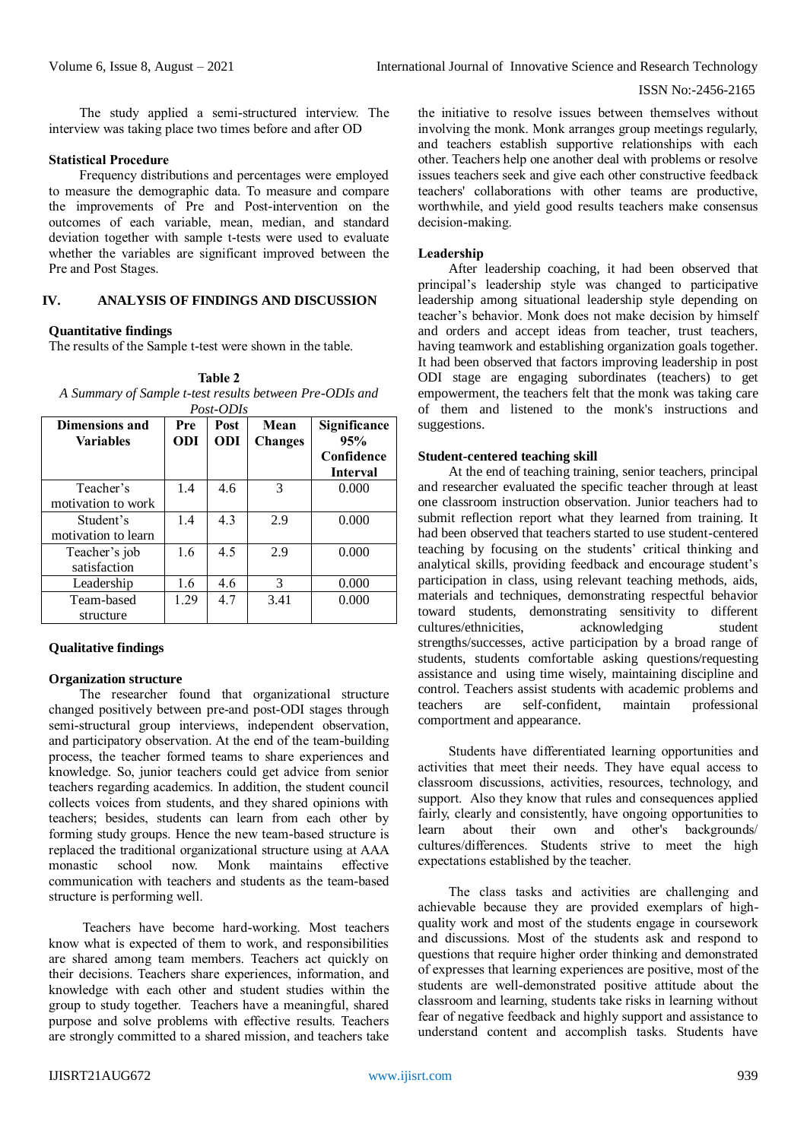The study applied a semi-structured interview. The interview was taking place two times before and after OD

## **Statistical Procedure**

Frequency distributions and percentages were employed to measure the demographic data. To measure and compare the improvements of Pre and Post-intervention on the outcomes of each variable, mean, median, and standard deviation together with sample t-tests were used to evaluate whether the variables are significant improved between the Pre and Post Stages.

#### **IV. ANALYSIS OF FINDINGS AND DISCUSSION**

# **Quantitative findings**

The results of the Sample t-test were shown in the table.

**Table 2** *A Summary of Sample t-test results between Pre-ODIs and Post-ODIs*

| Dimensions and<br>Variables      | Pre<br>ODI | Post<br>ODI | Mean<br><b>Changes</b> | Significance<br>95%<br>Confidence<br><b>Interval</b> |
|----------------------------------|------------|-------------|------------------------|------------------------------------------------------|
| Teacher's<br>motivation to work  | 1.4        | 4.6         | 3                      | 0.000                                                |
| Student's<br>motivation to learn | 1.4        | 4.3         | 2.9                    | 0.000                                                |
| Teacher's job<br>satisfaction    | 1.6        | 4.5         | 2.9                    | 0.000                                                |
| Leadership                       | 1.6        | 4.6         | 3                      | 0.000                                                |
| Team-based<br>structure          | 1.29       | 4.7         | 3.41                   | 0.000                                                |

# **Qualitative findings**

#### **Organization structure**

The researcher found that organizational structure changed positively between pre-and post-ODI stages through semi-structural group interviews, independent observation, and participatory observation. At the end of the team-building process, the teacher formed teams to share experiences and knowledge. So, junior teachers could get advice from senior teachers regarding academics. In addition, the student council collects voices from students, and they shared opinions with teachers; besides, students can learn from each other by forming study groups. Hence the new team-based structure is replaced the traditional organizational structure using at AAA monastic school now. Monk maintains effective communication with teachers and students as the team-based structure is performing well.

Teachers have become hard-working. Most teachers know what is expected of them to work, and responsibilities are shared among team members. Teachers act quickly on their decisions. Teachers share experiences, information, and knowledge with each other and student studies within the group to study together. Teachers have a meaningful, shared purpose and solve problems with effective results. Teachers are strongly committed to a shared mission, and teachers take

the initiative to resolve issues between themselves without involving the monk. Monk arranges group meetings regularly, and teachers establish supportive relationships with each other. Teachers help one another deal with problems or resolve issues teachers seek and give each other constructive feedback teachers' collaborations with other teams are productive, worthwhile, and yield good results teachers make consensus decision-making.

#### **Leadership**

After leadership coaching, it had been observed that principal's leadership style was changed to participative leadership among situational leadership style depending on teacher's behavior. Monk does not make decision by himself and orders and accept ideas from teacher, trust teachers, having teamwork and establishing organization goals together. It had been observed that factors improving leadership in post ODI stage are engaging subordinates (teachers) to get empowerment, the teachers felt that the monk was taking care of them and listened to the monk's instructions and suggestions.

### **Student-centered teaching skill**

At the end of teaching training, senior teachers, principal and researcher evaluated the specific teacher through at least one classroom instruction observation. Junior teachers had to submit reflection report what they learned from training. It had been observed that teachers started to use student-centered teaching by focusing on the students' critical thinking and analytical skills, providing feedback and encourage student's participation in class, using relevant teaching methods, aids, materials and techniques, demonstrating respectful behavior toward students, demonstrating sensitivity to different cultures/ethnicities, acknowledging student strengths/successes, active participation by a broad range of students, students comfortable asking questions/requesting assistance and using time wisely, maintaining discipline and control. Teachers assist students with academic problems and teachers are self-confident, maintain professional comportment and appearance.

Students have differentiated learning opportunities and activities that meet their needs. They have equal access to classroom discussions, activities, resources, technology, and support. Also they know that rules and consequences applied fairly, clearly and consistently, have ongoing opportunities to learn about their own and other's backgrounds/ cultures/differences. Students strive to meet the high expectations established by the teacher.

The class tasks and activities are challenging and achievable because they are provided exemplars of highquality work and most of the students engage in coursework and discussions. Most of the students ask and respond to questions that require higher order thinking and demonstrated of expresses that learning experiences are positive, most of the students are well-demonstrated positive attitude about the classroom and learning, students take risks in learning without fear of negative feedback and highly support and assistance to understand content and accomplish tasks. Students have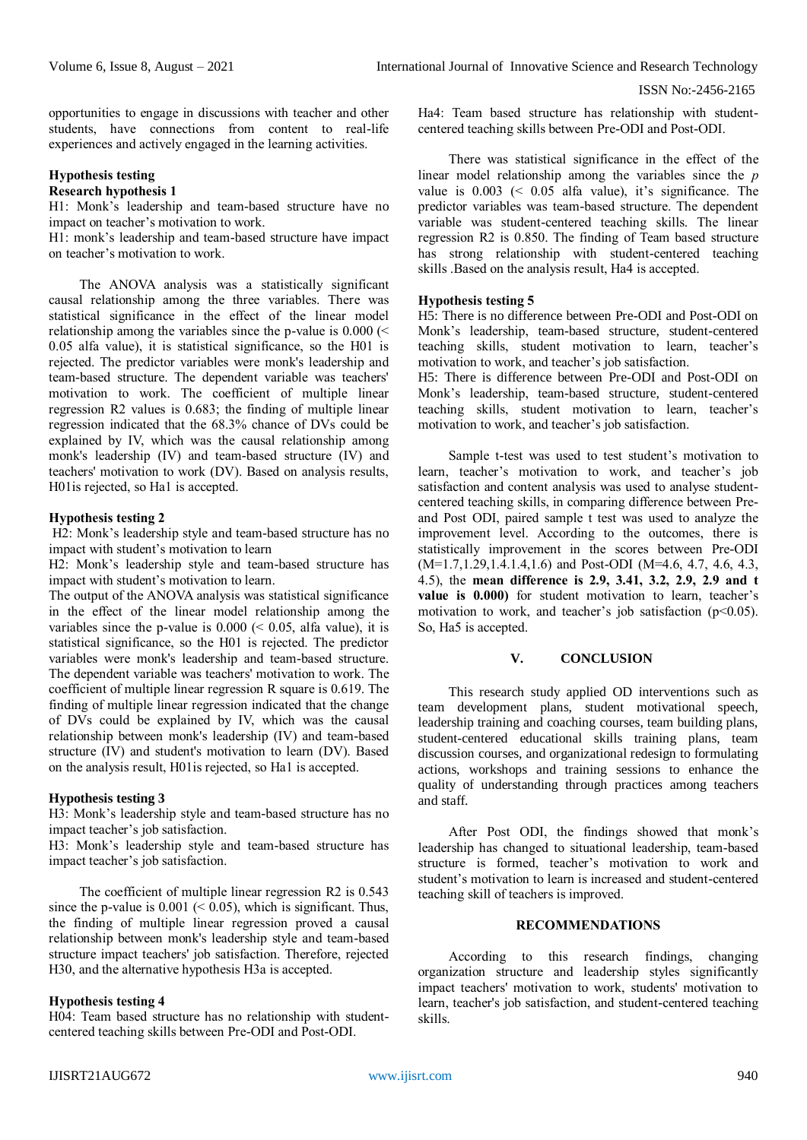opportunities to engage in discussions with teacher and other students, have connections from content to real-life experiences and actively engaged in the learning activities.

# **Hypothesis testing**

# **Research hypothesis 1**

H1: Monk's leadership and team-based structure have no impact on teacher's motivation to work.

H1: monk's leadership and team-based structure have impact on teacher's motivation to work.

The ANOVA analysis was a statistically significant causal relationship among the three variables. There was statistical significance in the effect of the linear model relationship among the variables since the p-value is  $0.000$  (< 0.05 alfa value), it is statistical significance, so the H01 is rejected. The predictor variables were monk's leadership and team-based structure. The dependent variable was teachers' motivation to work. The coefficient of multiple linear regression R2 values is 0.683; the finding of multiple linear regression indicated that the 68.3% chance of DVs could be explained by IV, which was the causal relationship among monk's leadership (IV) and team-based structure (IV) and teachers' motivation to work (DV). Based on analysis results, H01is rejected, so Ha1 is accepted.

#### **Hypothesis testing 2**

H2: Monk's leadership style and team-based structure has no impact with student's motivation to learn

H2: Monk's leadership style and team-based structure has impact with student's motivation to learn.

The output of the ANOVA analysis was statistical significance in the effect of the linear model relationship among the variables since the p-value is  $0.000 \le 0.05$ , alfa value), it is statistical significance, so the H01 is rejected. The predictor variables were monk's leadership and team-based structure. The dependent variable was teachers' motivation to work. The coefficient of multiple linear regression R square is 0.619. The finding of multiple linear regression indicated that the change of DVs could be explained by IV, which was the causal relationship between monk's leadership (IV) and team-based structure (IV) and student's motivation to learn (DV). Based on the analysis result, H01is rejected, so Ha1 is accepted.

# **Hypothesis testing 3**

H3: Monk's leadership style and team-based structure has no impact teacher's job satisfaction.

H3: Monk's leadership style and team-based structure has impact teacher's job satisfaction.

The coefficient of multiple linear regression R2 is 0.543 since the p-value is  $0.001 \leq 0.05$ ), which is significant. Thus, the finding of multiple linear regression proved a causal relationship between monk's leadership style and team-based structure impact teachers' job satisfaction. Therefore, rejected H30, and the alternative hypothesis H3a is accepted.

#### **Hypothesis testing 4**

H04: Team based structure has no relationship with studentcentered teaching skills between Pre-ODI and Post-ODI.

Ha4: Team based structure has relationship with studentcentered teaching skills between Pre-ODI and Post-ODI.

There was statistical significance in the effect of the linear model relationship among the variables since the *p* value is  $0.003 \leq 0.05$  alfa value), it's significance. The predictor variables was team-based structure. The dependent variable was student-centered teaching skills. The linear regression R2 is 0.850. The finding of Team based structure has strong relationship with student-centered teaching skills .Based on the analysis result, Ha4 is accepted.

#### **Hypothesis testing 5**

H5: There is no difference between Pre-ODI and Post-ODI on Monk's leadership, team-based structure, student-centered teaching skills, student motivation to learn, teacher's motivation to work, and teacher's job satisfaction.

H5: There is difference between Pre-ODI and Post-ODI on Monk's leadership, team-based structure, student-centered teaching skills, student motivation to learn, teacher's motivation to work, and teacher's job satisfaction.

Sample t-test was used to test student's motivation to learn, teacher's motivation to work, and teacher's job satisfaction and content analysis was used to analyse studentcentered teaching skills, in comparing difference between Preand Post ODI, paired sample t test was used to analyze the improvement level. According to the outcomes, there is statistically improvement in the scores between Pre-ODI (M=1.7,1.29,1.4.1.4,1.6) and Post-ODI (M=4.6, 4.7, 4.6, 4.3, 4.5), the **mean difference is 2.9, 3.41, 3.2, 2.9, 2.9 and t**  value is 0.000) for student motivation to learn, teacher's motivation to work, and teacher's job satisfaction  $(p<0.05)$ . So, Ha5 is accepted.

# **V. CONCLUSION**

This research study applied OD interventions such as team development plans, student motivational speech, leadership training and coaching courses, team building plans, student-centered educational skills training plans, team discussion courses, and organizational redesign to formulating actions, workshops and training sessions to enhance the quality of understanding through practices among teachers and staff.

After Post ODI, the findings showed that monk's leadership has changed to situational leadership, team-based structure is formed, teacher's motivation to work and student's motivation to learn is increased and student-centered teaching skill of teachers is improved.

# **RECOMMENDATIONS**

According to this research findings, changing organization structure and leadership styles significantly impact teachers' motivation to work, students' motivation to learn, teacher's job satisfaction, and student-centered teaching skills.